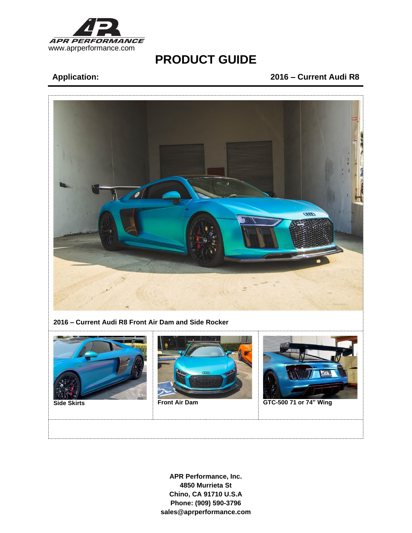

# **PRODUCT GUIDE**

## **Application: 2016 – Current Audi R8**



**APR Performance, Inc. 4850 Murrieta St Chino, CA 91710 U.S.A Phone: (909) 590-3796 sales@aprperformance.com**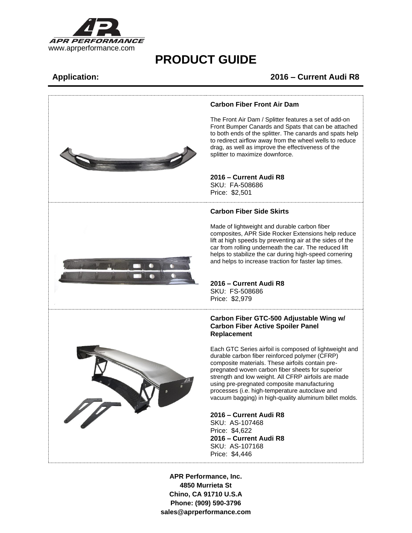

## **PRODUCT GUIDE**

### **Application: 2016 – Current Audi R8**



**APR Performance, Inc. 4850 Murrieta St Chino, CA 91710 U.S.A Phone: (909) 590-3796 sales@aprperformance.com**